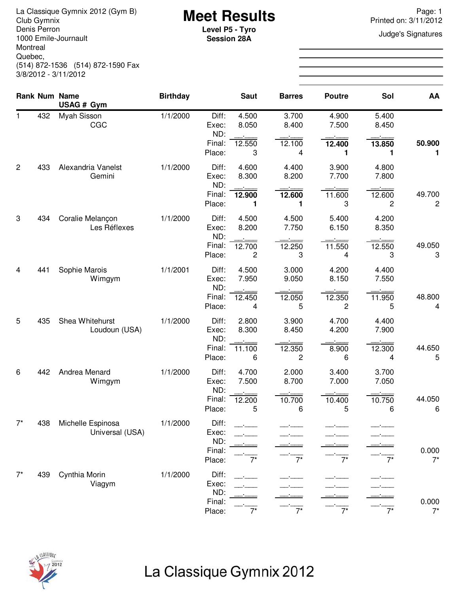La Classique Gymnix 2012 (Gym B)<br>Club Gymnix 2012 (Gym B) **Meet Results**<br>Denis Perron **Page: 1**<br>Level **P5 - Tyro Page: 1** Denis Perron 1000 Emile-Journault Montreal Quebec, (514) 872-1536 (514) 872-1590 Fax 3/8/2012 - 3/11/2012

**Session 28A**

Printed on: 3/11/2012

**Judge's Signatures** 

|                |     | Rank Num Name<br>USAG # Gym          | <b>Birthday</b> |                                           | <b>Saut</b>    | <b>Barres</b>  | <b>Poutre</b>  | Sol            | AA             |
|----------------|-----|--------------------------------------|-----------------|-------------------------------------------|----------------|----------------|----------------|----------------|----------------|
| $\mathbf 1$    | 432 | Myah Sisson<br>CGC                   | 1/1/2000        | Diff:<br>Exec:<br>ND:<br>Final:           | 4.500<br>8.050 | 3.700<br>8.400 | 4.900<br>7.500 | 5.400<br>8.450 | 50.900         |
|                |     |                                      |                 | Place:                                    | 12.550<br>3    | 12.100<br>4    | 12.400<br>1    | 13.850<br>1    | 1              |
| $\overline{c}$ | 433 | Alexandria Vanelst<br>Gemini         | 1/1/2000        | Diff:<br>Exec:<br>ND:                     | 4.600<br>8.300 | 4.400<br>8.200 | 3.900<br>7.700 | 4.800<br>7.800 |                |
|                |     |                                      |                 | Final:<br>Place:                          | 12.900<br>1    | 12.600<br>1    | 11.600<br>3    | 12.600<br>2    | 49.700<br>2    |
| 3              | 434 | Coralie Melançon<br>Les Réflexes     | 1/1/2000        | Diff:<br>Exec:<br>ND:                     | 4.500<br>8.200 | 4.500<br>7.750 | 5.400<br>6.150 | 4.200<br>8.350 |                |
|                |     |                                      |                 | Final:<br>Place:                          | 12.700<br>2    | 12.250<br>3    | 11.550<br>4    | 12.550<br>3    | 49.050<br>3    |
| 4              | 441 | Sophie Marois<br>Wimgym              | 1/1/2001        | Diff:<br>Exec:<br>ND:                     | 4.500<br>7.950 | 3.000<br>9.050 | 4.200<br>8.150 | 4.400<br>7.550 |                |
|                |     |                                      |                 | Final:<br>Place:                          | 12.450<br>4    | 12.050<br>5    | 12.350<br>2    | 11.950<br>5    | 48.800<br>4    |
| 5              | 435 | Shea Whitehurst<br>Loudoun (USA)     | 1/1/2000        | Diff:<br>Exec:<br>ND:                     | 2.800<br>8.300 | 3.900<br>8.450 | 4.700<br>4.200 | 4.400<br>7.900 |                |
|                |     |                                      |                 | Final:<br>Place:                          | 11.100<br>6    | 12.350<br>2    | 8.900<br>6     | 12.300<br>4    | 44.650<br>5    |
| 6              | 442 | Andrea Menard<br>Wimgym              | 1/1/2000        | Diff:<br>Exec:                            | 4.700<br>7.500 | 2.000<br>8.700 | 3.400<br>7.000 | 3.700<br>7.050 |                |
|                |     |                                      |                 | ND:<br>Final:<br>Place:                   | 12.200<br>5    | 10.700<br>6    | 10.400<br>5    | 10.750<br>6    | 44.050<br>6    |
| $7^*$          | 438 | Michelle Espinosa<br>Universal (USA) | 1/1/2000        | Diff:<br>Exec:<br>ND:<br>Final:<br>Place: |                | $7^*$          | $7^*$          | $7^*$          | 0.000<br>$7^*$ |
| $7^*$          | 439 | Cynthia Morin<br>Viagym              | 1/1/2000        | Diff:<br>Exec:                            |                |                |                |                |                |
|                |     |                                      |                 | ND:<br>Final:<br>Place:                   | $7^*$          | $\overline{7}$ | $\overline{7}$ | $7^*$          | 0.000<br>$7^*$ |